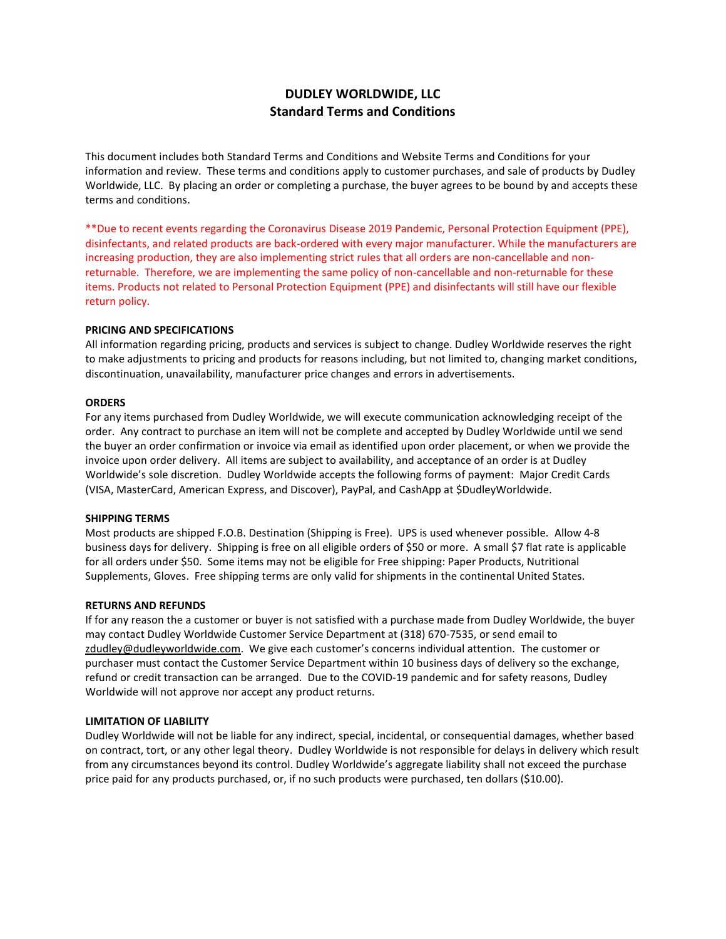# **DUDLEY WORLDWIDE, LLC Standard Terms and Conditions**

This document includes both Standard Terms and Conditions and Website Terms and Conditions for your information and review. These terms and conditions apply to customer purchases, and sale of products by Dudley Worldwide, LLC. By placing an order or completing a purchase, the buyer agrees to be bound by and accepts these terms and conditions.

\*\*Due to recent events regarding the Coronavirus Disease 2019 Pandemic, Personal Protection Equipment (PPE), disinfectants, and related products are back-ordered with every major manufacturer. While the manufacturers are increasing production, they are also implementing strict rules that all orders are non-cancellable and nonreturnable. Therefore, we are implementing the same policy of non-cancellable and non-returnable for these items. Products not related to Personal Protection Equipment (PPE) and disinfectants will still have our flexible return policy.

## **PRICING AND SPECIFICATIONS**

All information regarding pricing, products and services is subject to change. Dudley Worldwide reserves the right to make adjustments to pricing and products for reasons including, but not limited to, changing market conditions, discontinuation, unavailability, manufacturer price changes and errors in advertisements.

## **ORDERS**

For any items purchased from Dudley Worldwide, we will execute communication acknowledging receipt of the order. Any contract to purchase an item will not be complete and accepted by Dudley Worldwide until we send the buyer an order confirmation or invoice via email as identified upon order placement, or when we provide the invoice upon order delivery. All items are subject to availability, and acceptance of an order is at Dudley Worldwide's sole discretion. Dudley Worldwide accepts the following forms of payment: Major Credit Cards (VISA, MasterCard, American Express, and Discover), PayPal, and CashApp at \$DudleyWorldwide.

## **SHIPPING TERMS**

Most products are shipped F.O.B. Destination (Shipping is Free). UPS is used whenever possible. Allow 4-8 business days for delivery. Shipping is free on all eligible orders of \$50 or more. A small \$7 flat rate is applicable for all orders under \$50. Some items may not be eligible for Free shipping: Paper Products, Nutritional Supplements, Gloves. Free shipping terms are only valid for shipments in the continental United States.

## **RETURNS AND REFUNDS**

If for any reason the a customer or buyer is not satisfied with a purchase made from Dudley Worldwide, the buyer may contact Dudley Worldwide Customer Service Department at (318) 670-7535, or send email to [zdudley@dudleyworldwide.com](mailto:zdudley@dudleyworldwide.com). We give each customer's concerns individual attention. The customer or purchaser must contact the Customer Service Department within 10 business days of delivery so the exchange, refund or credit transaction can be arranged. Due to the COVID-19 pandemic and for safety reasons, Dudley Worldwide will not approve nor accept any product returns.

## **LIMITATION OF LIABILITY**

Dudley Worldwide will not be liable for any indirect, special, incidental, or consequential damages, whether based on contract, tort, or any other legal theory. Dudley Worldwide is not responsible for delays in delivery which result from any circumstances beyond its control. Dudley Worldwide's aggregate liability shall not exceed the purchase price paid for any products purchased, or, if no such products were purchased, ten dollars (\$10.00).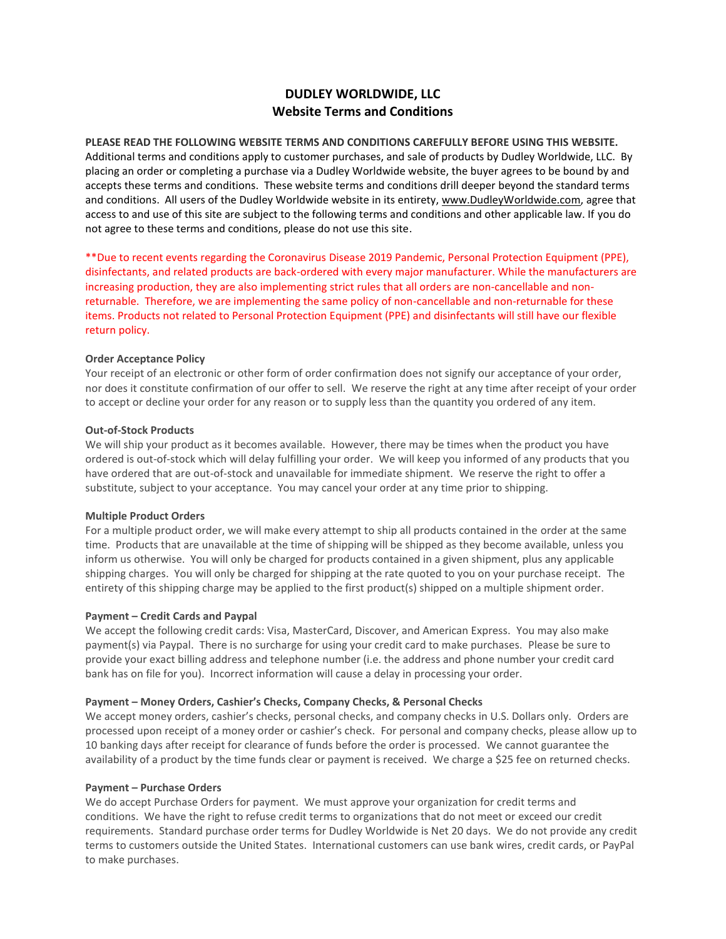# **DUDLEY WORLDWIDE, LLC Website Terms and Conditions**

**PLEASE READ THE FOLLOWING WEBSITE TERMS AND CONDITIONS CAREFULLY BEFORE USING THIS WEBSITE.** Additional terms and conditions apply to customer purchases, and sale of products by Dudley Worldwide, LLC. By placing an order or completing a purchase via a Dudley Worldwide website, the buyer agrees to be bound by and accepts these terms and conditions. These website terms and conditions drill deeper beyond the standard terms and conditions. All users of the Dudley Worldwide website in its entirety[, www.DudleyWorldwide.com,](http://www.dudleyworldwide.com/) agree that access to and use of this site are subject to the following terms and conditions and other applicable law. If you do not agree to these terms and conditions, please do not use this site.

\*\*Due to recent events regarding the Coronavirus Disease 2019 Pandemic, Personal Protection Equipment (PPE), disinfectants, and related products are back-ordered with every major manufacturer. While the manufacturers are increasing production, they are also implementing strict rules that all orders are non-cancellable and nonreturnable. Therefore, we are implementing the same policy of non-cancellable and non-returnable for these items. Products not related to Personal Protection Equipment (PPE) and disinfectants will still have our flexible return policy.

## **Order Acceptance Policy**

Your receipt of an electronic or other form of order confirmation does not signify our acceptance of your order, nor does it constitute confirmation of our offer to sell. We reserve the right at any time after receipt of your order to accept or decline your order for any reason or to supply less than the quantity you ordered of any item.

## **Out-of-Stock Products**

We will ship your product as it becomes available. However, there may be times when the product you have ordered is out-of-stock which will delay fulfilling your order. We will keep you informed of any products that you have ordered that are out-of-stock and unavailable for immediate shipment. We reserve the right to offer a substitute, subject to your acceptance. You may cancel your order at any time prior to shipping.

## **Multiple Product Orders**

For a multiple product order, we will make every attempt to ship all products contained in the order at the same time. Products that are unavailable at the time of shipping will be shipped as they become available, unless you inform us otherwise. You will only be charged for products contained in a given shipment, plus any applicable shipping charges. You will only be charged for shipping at the rate quoted to you on your purchase receipt. The entirety of this shipping charge may be applied to the first product(s) shipped on a multiple shipment order.

# **Payment – Credit Cards and Paypal**

We accept the following credit cards: Visa, MasterCard, Discover, and American Express. You may also make payment(s) via Paypal. There is no surcharge for using your credit card to make purchases. Please be sure to provide your exact billing address and telephone number (i.e. the address and phone number your credit card bank has on file for you). Incorrect information will cause a delay in processing your order.

## **Payment – Money Orders, Cashier's Checks, Company Checks, & Personal Checks**

We accept money orders, cashier's checks, personal checks, and company checks in U.S. Dollars only. Orders are processed upon receipt of a money order or cashier's check. For personal and company checks, please allow up to 10 banking days after receipt for clearance of funds before the order is processed. We cannot guarantee the availability of a product by the time funds clear or payment is received. We charge a \$25 fee on returned checks.

## **Payment – Purchase Orders**

We do accept Purchase Orders for payment. We must approve your organization for credit terms and conditions. We have the right to refuse credit terms to organizations that do not meet or exceed our credit requirements. Standard purchase order terms for Dudley Worldwide is Net 20 days. We do not provide any credit terms to customers outside the United States. International customers can use bank wires, credit cards, or PayPal to make purchases.